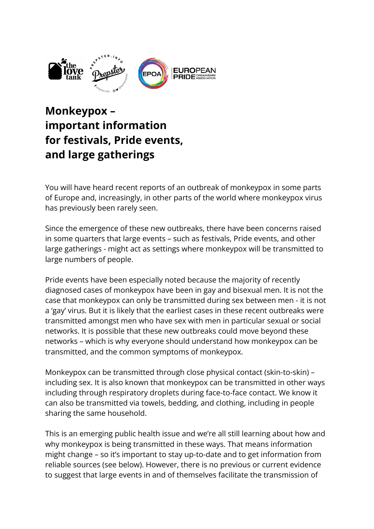

# **Monkeypox – important information for festivals, Pride events, and large gatherings**

You will have heard recent reports of an outbreak of monkeypox in some parts of Europe and, increasingly, in other parts of the world where monkeypox virus has previously been rarely seen.

Since the emergence of these new outbreaks, there have been concerns raised in some quarters that large events – such as festivals, Pride events, and other large gatherings - might act as settings where monkeypox will be transmitted to large numbers of people.

Pride events have been especially noted because the majority of recently diagnosed cases of monkeypox have been in gay and bisexual men. It is not the case that monkeypox can only be transmitted during sex between men - it is not a 'gay' virus. But it is likely that the earliest cases in these recent outbreaks were transmitted amongst men who have sex with men in particular sexual or social networks. It is possible that these new outbreaks could move beyond these networks – which is why everyone should understand how monkeypox can be transmitted, and the common symptoms of monkeypox.

Monkeypox can be transmitted through close physical contact (skin-to-skin) – including sex. It is also known that monkeypox can be transmitted in other ways including through respiratory droplets during face-to-face contact. We know it can also be transmitted via towels, bedding, and clothing, including in people sharing the same household.

This is an emerging public health issue and we're all still learning about how and why monkeypox is being transmitted in these ways. That means information might change – so it's important to stay up-to-date and to get information from reliable sources (see below). However, there is no previous or current evidence to suggest that large events in and of themselves facilitate the transmission of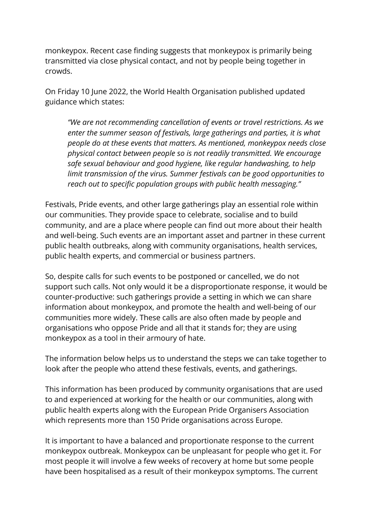monkeypox. Recent case finding suggests that monkeypox is primarily being transmitted via close physical contact, and not by people being together in crowds.

On Friday 10 June 2022, the World Health Organisation published updated guidance which states:

*"We are not recommending cancellation of events or travel restrictions. As we enter the summer season of festivals, large gatherings and parties, it is what people do at these events that matters. As mentioned, monkeypox needs close physical contact between people so is not readily transmitted. We encourage safe sexual behaviour and good hygiene, like regular handwashing, to help limit transmission of the virus. Summer festivals can be good opportunities to reach out to specific population groups with public health messaging."*

Festivals, Pride events, and other large gatherings play an essential role within our communities. They provide space to celebrate, socialise and to build community, and are a place where people can find out more about their health and well-being. Such events are an important asset and partner in these current public health outbreaks, along with community organisations, health services, public health experts, and commercial or business partners.

So, despite calls for such events to be postponed or cancelled, we do not support such calls. Not only would it be a disproportionate response, it would be counter-productive: such gatherings provide a setting in which we can share information about monkeypox, and promote the health and well-being of our communities more widely. These calls are also often made by people and organisations who oppose Pride and all that it stands for; they are using monkeypox as a tool in their armoury of hate.

The information below helps us to understand the steps we can take together to look after the people who attend these festivals, events, and gatherings.

This information has been produced by community organisations that are used to and experienced at working for the health or our communities, along with public health experts along with the European Pride Organisers Association which represents more than 150 Pride organisations across Europe.

It is important to have a balanced and proportionate response to the current monkeypox outbreak. Monkeypox can be unpleasant for people who get it. For most people it will involve a few weeks of recovery at home but some people have been hospitalised as a result of their monkeypox symptoms. The current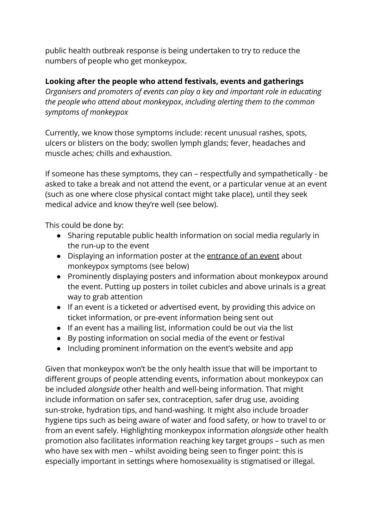public health outbreak response is being undertaken to try to reduce the numbers of people who get monkeypox.

### **Looking after the people who attend festivals, events and gatherings**

*Organisers and promoters of events can play a key and important role in educating the people who attend about monkeypox*, *including alerting them to the common symptoms of monkeypox*

Currently, we know those symptoms include: recent unusual rashes, spots, ulcers or blisters on the body; swollen lymph glands; fever, headaches and muscle aches; chills and exhaustion.

If someone has these symptoms, they can – respectfully and sympathetically - be asked to take a break and not attend the event, or a particular venue at an event (such as one where close physical contact might take place), until they seek medical advice and know they're well (see below).

This could be done by:

- Sharing reputable public health information on social media regularly in the run-up to the event
- Displaying an information poster at the entrance of an event about monkeypox symptoms (see below)
- Prominently displaying posters and information about monkeypox around the event. Putting up posters in toilet cubicles and above urinals is a great way to grab attention
- If an event is a ticketed or advertised event, by providing this advice on ticket information, or pre-event information being sent out
- If an event has a mailing list, information could be out via the list
- By posting information on social media of the event or festival
- Including prominent information on the event's website and app

Given that monkeypox won't be the only health issue that will be important to different groups of people attending events, information about monkeypox can be included *alongside* other health and well-being information. That might include information on safer sex, contraception, safer drug use, avoiding sun-stroke, hydration tips, and hand-washing. It might also include broader hygiene tips such as being aware of water and food safety, or how to travel to or from an event safely. Highlighting monkeypox information *alongside* other health promotion also facilitates information reaching key target groups – such as men who have sex with men – whilst avoiding being seen to finger point: this is especially important in settings where homosexuality is stigmatised or illegal.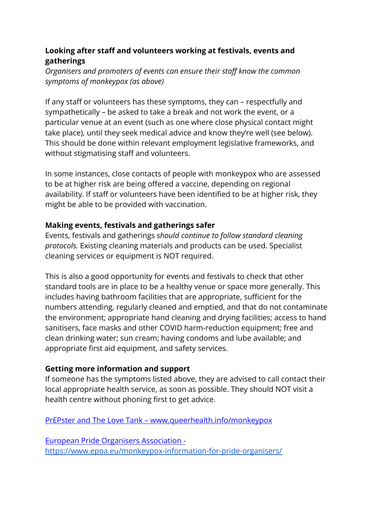## **Looking after staff and volunteers working at festivals, events and gatherings**

*Organisers and promoters of events can ensure their staff know the common symptoms of monkeypox (as above)*

If any staff or volunteers has these symptoms, they can – respectfully and sympathetically – be asked to take a break and not work the event, or a particular venue at an event (such as one where close physical contact might take place), until they seek medical advice and know they're well (see below). This should be done within relevant employment legislative frameworks, and without stigmatising staff and volunteers.

In some instances, close contacts of people with monkeypox who are assessed to be at higher risk are being offered a vaccine, depending on regional availability. If staff or volunteers have been identified to be at higher risk, they might be able to be provided with vaccination.

### **Making events, festivals and gatherings safer**

Events, festivals and gatherings *should continue to follow standard cleaning protocols.* Existing cleaning materials and products can be used. Specialist cleaning services or equipment is NOT required.

This is also a good opportunity for events and festivals to check that other standard tools are in place to be a healthy venue or space more generally. This includes having bathroom facilities that are appropriate, sufficient for the numbers attending, regularly cleaned and emptied, and that do not contaminate the environment; appropriate hand cleaning and drying facilities; access to hand sanitisers, face masks and other COVID harm-reduction equipment; free and clean drinking water; sun cream; having condoms and lube available; and appropriate first aid equipment, and safety services.

## **Getting more information and support**

If someone has the symptoms listed above, they are advised to call contact their local appropriate health service, as soon as possible. They should NOT visit a health centre without phoning first to get advice.

PrEPster and The Love Tank – www.queerhealth.info/monkeypox

European Pride Organisers Association <https://www.epoa.eu/monkeypox-information-for-pride-organisers/>